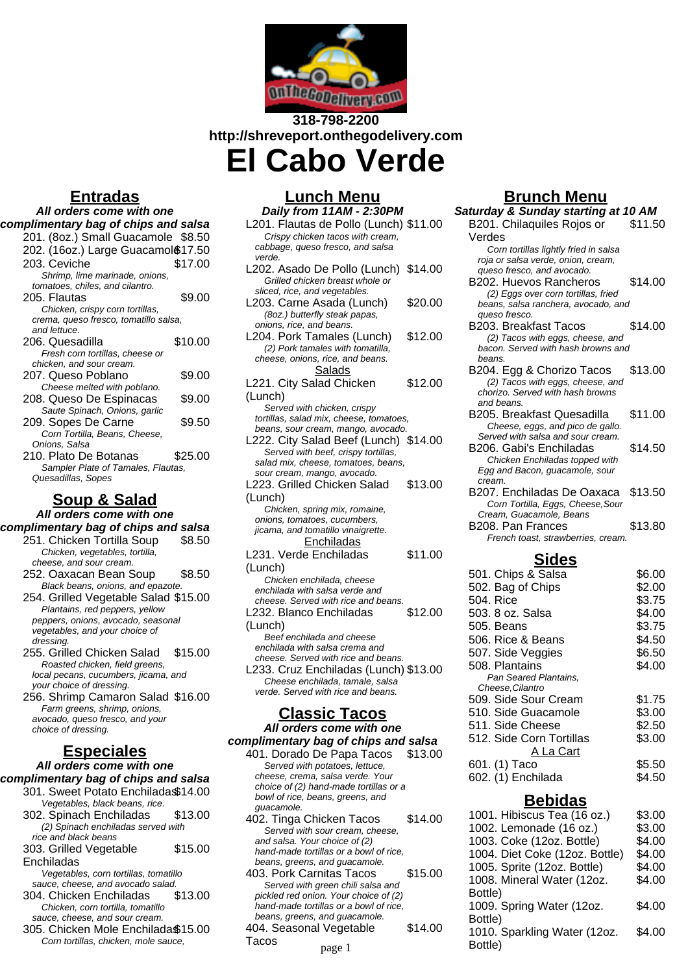

## **318-798-2200 http://shreveport.onthegodelivery.com El Cabo Verde**

## **Entradas**

| All orders come with one              |         |  |
|---------------------------------------|---------|--|
| complimentary bag of chips and salsa  |         |  |
| 201. (8oz.) Small Guacamole \$8.50    |         |  |
| 202. (16oz.) Large Guacamol \$17.50   |         |  |
| 203. Ceviche                          | \$17.00 |  |
| Shrimp, lime marinade, onions,        |         |  |
| tomatoes, chiles, and cilantro.       |         |  |
| 205. Flautas                          | \$9.00  |  |
| Chicken, crispy corn tortillas,       |         |  |
| crema, queso fresco, tomatillo salsa, |         |  |
| and lettuce.                          |         |  |
| 206. Quesadilla                       | \$10.00 |  |
| Fresh corn tortillas, cheese or       |         |  |
| chicken, and sour cream.              |         |  |
| 207. Queso Poblano                    | \$9.00  |  |
| Cheese melted with poblano.           |         |  |
| 208. Queso De Espinacas               | \$9.00  |  |
| Saute Spinach, Onions, garlic         |         |  |
| 209. Sopes De Carne                   | \$9.50  |  |
| Corn Tortilla, Beans, Cheese,         |         |  |
| Onions, Salsa                         |         |  |
| 210. Plato De Botanas                 | \$25.00 |  |
| Sampler Plate of Tamales, Flautas,    |         |  |
| Quesadillas, Sopes                    |         |  |
|                                       |         |  |

## **Soup & Salad**

**All orders come with one**

- **complimentary bag of chips and salsa** 251. Chicken Tortilla Soup \$8.50 Chicken, vegetables, tortilla, cheese, and sour cream. 252. Oaxacan Bean Soup \$8.50 Black beans, onions, and epazote. 254. Grilled Vegetable Salad \$15.00
	- Plantains, red peppers, yellow peppers, onions, avocado, seasonal vegetables, and your choice of dressing. 255. Grilled Chicken Salad \$15.00
	- Roasted chicken, field greens, local pecans, cucumbers, jicama, and your choice of dressing.

256. Shrimp Camaron Salad \$16.00 Farm greens, shrimp, onions, avocado, queso fresco, and your choice of dressing.

## **Especiales**

#### **All orders come with one complimentary bag of chips and salsa** 301. Sweet Potato Enchiladas\$14.00

- Vegetables, black beans, rice. 302. Spinach Enchiladas \$13.00
- (2) Spinach enchiladas served with rice and black beans
- 303. Grilled Vegetable **Enchiladas** \$15.00

Vegetables, corn tortillas, tomatillo sauce, cheese, and avocado salad.

- 304. Chicken Enchiladas \$13.00 Chicken, corn tortilla, tomatillo sauce, cheese, and sour cream.
- 305. Chicken Mole Enchiladas\$15.00 Corn tortillas, chicken, mole sauce,

### **Lunch Menu Daily from 11AM - 2:30PM**

| L201. Flautas de Pollo (Lunch) \$11.00  |
|-----------------------------------------|
|                                         |
|                                         |
|                                         |
| \$14.00                                 |
|                                         |
|                                         |
| \$20.00                                 |
|                                         |
|                                         |
| \$12.00                                 |
|                                         |
|                                         |
|                                         |
|                                         |
| \$12.00                                 |
|                                         |
|                                         |
| tortillas, salad mix, cheese, tomatoes, |
| beans, sour cream, mango, avocado.      |
| L222. City Salad Beef (Lunch) \$14.00   |
|                                         |
|                                         |
|                                         |
| \$13.00                                 |
|                                         |
|                                         |
|                                         |
|                                         |
|                                         |
|                                         |
| \$11.00                                 |
|                                         |
|                                         |
|                                         |
|                                         |
| \$12.00                                 |
|                                         |
|                                         |
|                                         |
|                                         |
| L233. Cruz Enchiladas (Lunch) \$13.00   |
|                                         |
|                                         |
|                                         |
|                                         |

# **Classic Tacos**

**All orders come with one complimentary bag of chips and salsa** 401. Dorado De Papa Tacos \$13.00

- Served with potatoes, lettuce, cheese, crema, salsa verde. Your choice of (2) hand-made tortillas or a bowl of rice, beans, greens, and guacamole.
- 402. Tinga Chicken Tacos \$14.00 Served with sour cream, cheese, and salsa. Your choice of (2) hand-made tortillas or a bowl of rice, beans, greens, and guacamole.
- 403. Pork Carnitas Tacos \$15.00 Served with green chili salsa and pickled red onion. Your choice of (2) hand-made tortillas or a bowl of rice, beans, greens, and guacamole.
- 404. Seasonal Vegetable Tacos \$14.00

page 1

## **Brunch Menu**

| Saturday & Sunday starting at 10 AM |  |  |
|-------------------------------------|--|--|
| \$11.50                             |  |  |
|                                     |  |  |
|                                     |  |  |
|                                     |  |  |
|                                     |  |  |
| \$14.00                             |  |  |
|                                     |  |  |
| beans, salsa ranchera, avocado, and |  |  |
|                                     |  |  |
| \$14.00                             |  |  |
|                                     |  |  |
| bacon. Served with hash browns and  |  |  |
|                                     |  |  |
| \$13.00                             |  |  |
|                                     |  |  |
|                                     |  |  |
|                                     |  |  |
| \$11.00                             |  |  |
|                                     |  |  |
|                                     |  |  |
| \$14.50                             |  |  |
|                                     |  |  |
|                                     |  |  |
| \$13.50                             |  |  |
|                                     |  |  |
|                                     |  |  |
| \$13.80                             |  |  |
|                                     |  |  |
|                                     |  |  |
|                                     |  |  |
| \$6.00                              |  |  |
| \$2.00                              |  |  |
|                                     |  |  |

| <b>JUT. UNIPS &amp; JAISA</b> | JU.UU  |
|-------------------------------|--------|
| 502. Bag of Chips             | \$2.00 |
| 504. Rice                     | \$3.75 |
| 503. 8 oz. Salsa              | \$4.00 |
| 505. Beans                    | \$3.75 |
| 506. Rice & Beans             | \$4.50 |
| 507. Side Veggies             | \$6.50 |
| 508. Plantains                | \$4.00 |
| Pan Seared Plantains.         |        |
| Cheese, Cilantro              |        |
| 509. Side Sour Cream          | \$1.75 |
| 510. Side Guacamole           | \$3.00 |
| 511. Side Cheese              | \$2.50 |
| 512. Side Corn Tortillas      | \$3.00 |
| A La Cart                     |        |
| 601. (1) Taco                 | \$5.50 |
| 602. (1) Enchilada            | \$4.50 |
|                               |        |

### **Bebidas**

| 1001. Hibiscus Tea (16 oz.)    | \$3.00 |
|--------------------------------|--------|
| 1002. Lemonade (16 oz.)        | \$3.00 |
| 1003. Coke (12oz. Bottle)      | \$4.00 |
| 1004. Diet Coke (12oz. Bottle) | \$4.00 |
| 1005. Sprite (12oz. Bottle)    | \$4.00 |
| 1008. Mineral Water (12oz.     | \$4.00 |
| Bottle)                        |        |
| 1009. Spring Water (12oz.      | \$4.00 |
| Bottle)                        |        |
| 1010. Sparkling Water (12oz.   | \$4.00 |
| Bottle)                        |        |